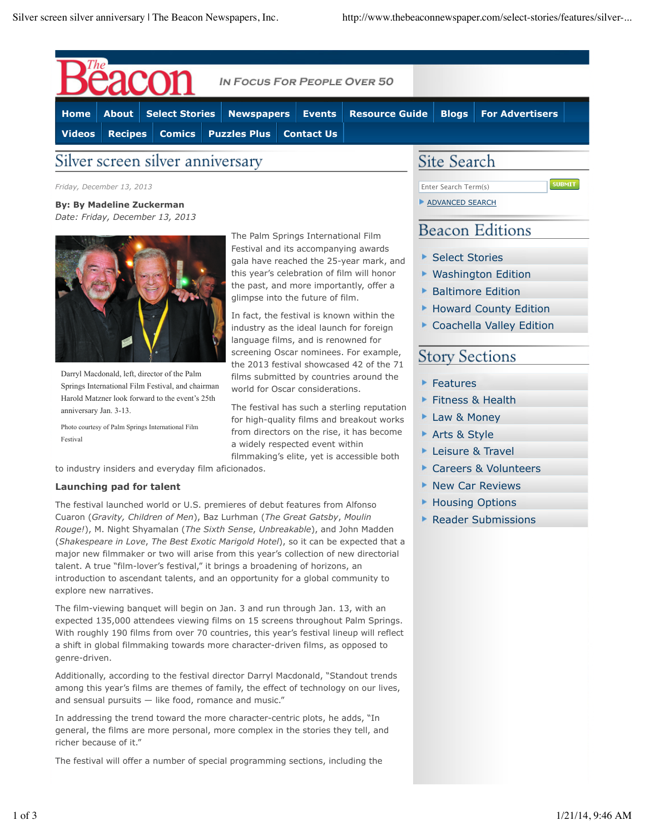

*Friday, December 13, 2013*

**By: By Madeline Zuckerman** *Date: Friday, December 13, 2013*



Darryl Macdonald, left, director of the Palm Springs International Film Festival, and chairman Harold Matzner look forward to the event's 25th anniversary Jan. 3-13.

Photo courtesy of Palm Springs International Film Festival

The Palm Springs International Film Festival and its accompanying awards gala have reached the 25-year mark, and this year's celebration of film will honor the past, and more importantly, offer a glimpse into the future of film.

In fact, the festival is known within the industry as the ideal launch for foreign language films, and is renowned for screening Oscar nominees. For example, the 2013 festival showcased 42 of the 71 films submitted by countries around the world for Oscar considerations.

The festival has such a sterling reputation for high-quality films and breakout works from directors on the rise, it has become a widely respected event within filmmaking's elite, yet is accessible both

to industry insiders and everyday film aficionados.

### **Launching pad for talent**

The festival launched world or U.S. premieres of debut features from Alfonso Cuaron (*Gravity, Children of Men*), Baz Lurhman (*The Great Gatsby*, *Moulin Rouge!*), M. Night Shyamalan (*The Sixth Sense*, *Unbreakable*), and John Madden (*Shakespeare in Love*, *The Best Exotic Marigold Hotel*), so it can be expected that a major new filmmaker or two will arise from this year's collection of new directorial talent. A true "film-lover's festival," it brings a broadening of horizons, an introduction to ascendant talents, and an opportunity for a global community to explore new narratives.

The film-viewing banquet will begin on Jan. 3 and run through Jan. 13, with an expected 135,000 attendees viewing films on 15 screens throughout Palm Springs. With roughly 190 films from over 70 countries, this year's festival lineup will reflect a shift in global filmmaking towards more character-driven films, as opposed to genre-driven.

Additionally, according to the festival director Darryl Macdonald, "Standout trends among this year's films are themes of family, the effect of technology on our lives, and sensual pursuits — like food, romance and music."

In addressing the trend toward the more character-centric plots, he adds, "In general, the films are more personal, more complex in the stories they tell, and richer because of it."

The festival will offer a number of special programming sections, including the

Enter Search Term(s) **ADVANCED SEARCH**  **SUBMIT** 

# **Beacon Editions**

- ▶ Select Stories
- ▶ Washington Edition
- **Baltimore Edition**
- ▶ Howard County Edition
- Coachella Valley Edition

## **Story Sections**

- ▶ Features
- **Fitness & Health**
- ▶ Law & Money
- ▶ Arts & Style
- ▶ Leisure & Travel
- ▶ Careers & Volunteers
- ▶ New Car Reviews
- ▶ Housing Options
- ▶ Reader Submissions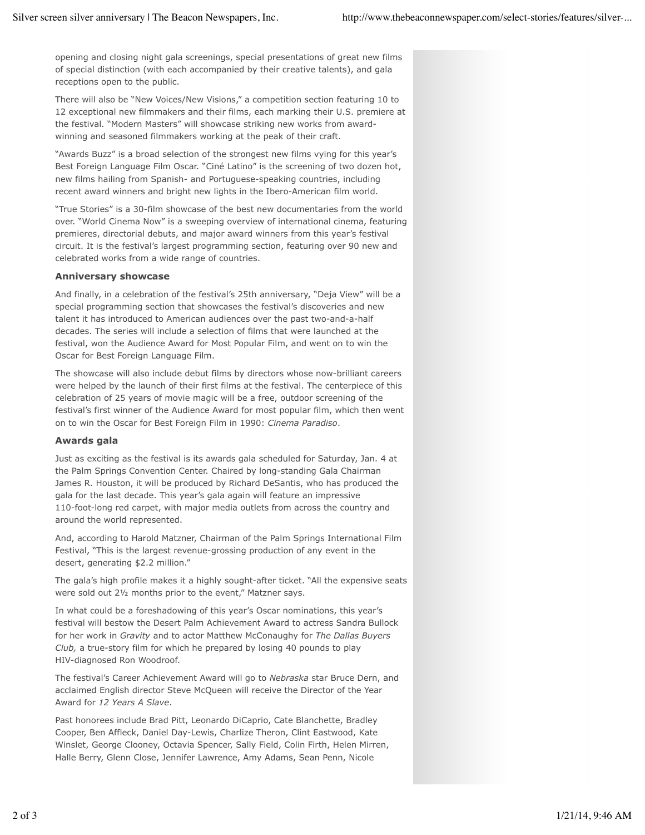opening and closing night gala screenings, special presentations of great new films of special distinction (with each accompanied by their creative talents), and gala receptions open to the public.

There will also be "New Voices/New Visions," a competition section featuring 10 to 12 exceptional new filmmakers and their films, each marking their U.S. premiere at the festival. "Modern Masters" will showcase striking new works from awardwinning and seasoned filmmakers working at the peak of their craft.

"Awards Buzz" is a broad selection of the strongest new films vying for this year's Best Foreign Language Film Oscar. "Ciné Latino" is the screening of two dozen hot, new films hailing from Spanish- and Portuguese-speaking countries, including recent award winners and bright new lights in the Ibero-American film world.

"True Stories" is a 30-film showcase of the best new documentaries from the world over. "World Cinema Now" is a sweeping overview of international cinema, featuring premieres, directorial debuts, and major award winners from this year's festival circuit. It is the festival's largest programming section, featuring over 90 new and celebrated works from a wide range of countries.

### **Anniversary showcase**

And finally, in a celebration of the festival's 25th anniversary, "Deja View" will be a special programming section that showcases the festival's discoveries and new talent it has introduced to American audiences over the past two-and-a-half decades. The series will include a selection of films that were launched at the festival, won the Audience Award for Most Popular Film, and went on to win the Oscar for Best Foreign Language Film.

The showcase will also include debut films by directors whose now-brilliant careers were helped by the launch of their first films at the festival. The centerpiece of this celebration of 25 years of movie magic will be a free, outdoor screening of the festival's first winner of the Audience Award for most popular film, which then went on to win the Oscar for Best Foreign Film in 1990: *Cinema Paradiso*.

### **Awards gala**

Just as exciting as the festival is its awards gala scheduled for Saturday, Jan. 4 at the Palm Springs Convention Center. Chaired by long-standing Gala Chairman James R. Houston, it will be produced by Richard DeSantis, who has produced the gala for the last decade. This year's gala again will feature an impressive 110-foot-long red carpet, with major media outlets from across the country and around the world represented.

And, according to Harold Matzner, Chairman of the Palm Springs International Film Festival, "This is the largest revenue-grossing production of any event in the desert, generating \$2.2 million."

The gala's high profile makes it a highly sought-after ticket. "All the expensive seats were sold out 2½ months prior to the event," Matzner says.

In what could be a foreshadowing of this year's Oscar nominations, this year's festival will bestow the Desert Palm Achievement Award to actress Sandra Bullock for her work in *Gravity* and to actor Matthew McConaughy for *The Dallas Buyers Club,* a true-story film for which he prepared by losing 40 pounds to play HIV-diagnosed Ron Woodroof.

The festival's Career Achievement Award will go to *Nebraska* star Bruce Dern, and acclaimed English director Steve McQueen will receive the Director of the Year Award for *12 Years A Slave*.

Past honorees include Brad Pitt, Leonardo DiCaprio, Cate Blanchette, Bradley Cooper, Ben Affleck, Daniel Day-Lewis, Charlize Theron, Clint Eastwood, Kate Winslet, George Clooney, Octavia Spencer, Sally Field, Colin Firth, Helen Mirren, Halle Berry, Glenn Close, Jennifer Lawrence, Amy Adams, Sean Penn, Nicole